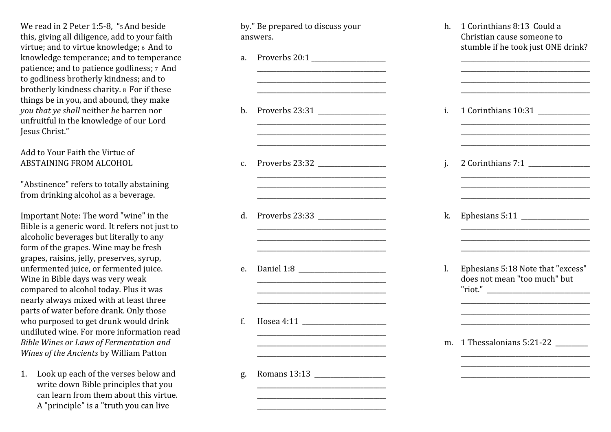We read in 2 Peter 1:5-8, "5 And beside this, giving all diligence, add to your faith virtue; and to virtue knowledge; 6 And to knowledge temperance; and to temperance patience; and to patience godliness; 7 Andto godliness brotherly kindness; and to brotherly kindness charity. 8 For if these things be in you, and abound, they makeyou that ye shall neither be barren nor unfruitful in the knowledge of our LordJesus Christ."

Add to Your Faith the Virtue ofABSTAINING FROM ALCOHOL

"Abstinence" refers to totally abstainingfrom drinking alcohol as a beverage.

Important Note: The word "wine" in the Bible is a generic word. It refers not just toalcoholic beverages but literally to any form of the grapes. Wine may be fresh grapes, raisins, jelly, preserves, syrup, unfermented juice, or fermented juice. Wine in Bible days was very weak compared to alcohol today. Plus it was nearly always mixed with at least three parts of water before drank. Only those who purposed to get drunk would drink undiluted wine. For more information readBible Wines or Laws of Fermentation andWines of the Ancients by William Patton

1. Look up each of the verses below and write down Bible principles that you can learn from them about this virtue.A "principle" is a "truth you can live

by." Be prepared to discuss youranswers.

\_\_\_\_\_\_\_\_\_\_\_\_\_\_\_\_\_\_\_\_\_\_\_\_\_\_\_\_\_\_\_\_\_\_\_\_\_\_\_\_\_\_\_\_\_\_\_\_\_\_\_\_\_\_\_\_\_\_\_\_\_\_\_\_\_\_\_\_\_\_\_\_\_\_\_\_\_\_\_\_b. Proverbs  $23:31$ \_\_\_\_\_\_\_\_\_\_\_\_\_\_\_\_\_\_\_\_\_\_\_\_\_\_\_\_\_\_\_\_\_\_\_\_\_\_\_\_

a. Proverbs  $20:1$ 

\_\_\_\_\_\_\_\_\_\_\_\_\_\_\_\_\_\_\_\_\_\_\_\_\_\_\_\_\_\_\_\_\_\_\_\_\_\_\_\_

\_\_\_\_\_\_\_\_\_\_\_\_\_\_\_\_\_\_\_\_\_\_\_\_\_\_\_\_\_\_\_\_\_\_\_\_\_\_\_\_\_\_\_\_\_\_\_\_\_\_\_\_\_\_\_\_\_\_\_\_\_\_\_\_\_\_\_\_\_\_\_\_\_\_\_\_\_\_\_\_ $\overline{\phantom{a}}$  , where the contract of the contract of the contract of the contract of the contract of the contract of the contract of the contract of the contract of the contract of the contract of the contract of the contr

\_\_\_\_\_\_\_\_\_\_\_\_\_\_\_\_\_\_\_\_\_\_\_\_\_\_\_\_\_\_\_\_\_\_\_\_\_\_\_\_\_\_\_\_\_\_\_\_\_\_\_\_\_\_\_\_\_\_\_\_\_\_\_\_\_\_\_\_\_\_\_\_\_\_\_\_\_\_\_\_

c. Proverbs 23:32 \_\_\_\_\_\_\_\_\_\_\_\_\_\_\_\_\_\_\_\_\_

d. Proverbs  $23:33$ 

e. Daniel 1:8 \_\_\_\_\_\_\_\_\_\_\_\_\_\_\_\_\_\_\_\_\_\_\_\_\_\_\_\_\_\_\_\_\_\_\_\_\_\_\_\_ $\overline{\phantom{a}}$  , where the contract of the contract of the contract of the contract of the contract of the contract of the contract of the contract of the contract of the contract of the contract of the contract of the contr

f. Hosea 4:11 \_\_\_\_\_\_\_\_\_\_\_\_\_\_\_\_\_\_\_\_\_\_\_\_\_\_

\_\_\_\_\_\_\_\_\_\_\_\_\_\_\_\_\_\_\_\_\_\_\_\_\_\_\_\_\_\_\_\_\_\_\_\_\_\_\_\_

\_\_\_\_\_\_\_\_\_\_\_\_\_\_\_\_\_\_\_\_\_\_\_\_\_\_\_\_\_\_\_\_\_\_\_\_\_\_\_\_

\_\_\_\_\_\_\_\_\_\_\_\_\_\_\_\_\_\_\_\_\_\_\_\_\_\_\_\_\_\_\_\_\_\_\_\_\_\_\_\_

g. Romans 13:13 \_\_\_\_\_\_\_\_\_\_\_\_\_\_\_\_\_\_\_\_\_\_

h. 1 Corinthians 8:13 Could a Christian cause someone to stumble if he took just ONE drink? \_\_\_\_\_\_\_\_\_\_\_\_\_\_\_\_\_\_\_\_\_\_\_\_\_\_\_\_\_\_\_\_\_\_\_\_\_\_\_\_ \_\_\_\_\_\_\_\_\_\_\_\_\_\_\_\_\_\_\_\_\_\_\_\_\_\_\_\_\_\_\_\_\_\_\_\_\_\_\_\_ \_\_\_\_\_\_\_\_\_\_\_\_\_\_\_\_\_\_\_\_\_\_\_\_\_\_\_\_\_\_\_\_\_\_\_\_\_\_\_\_ \_\_\_\_\_\_\_\_\_\_\_\_\_\_\_\_\_\_\_\_\_\_\_\_\_\_\_\_\_\_\_\_\_\_\_\_\_\_\_\_ i. 1 Corinthians 10:31 \_\_\_\_\_\_\_\_\_\_\_\_\_\_\_\_ \_\_\_\_\_\_\_\_\_\_\_\_\_\_\_\_\_\_\_\_\_\_\_\_\_\_\_\_\_\_\_\_\_\_\_\_\_\_\_\_ \_\_\_\_\_\_\_\_\_\_\_\_\_\_\_\_\_\_\_\_\_\_\_\_\_\_\_\_\_\_\_\_\_\_\_\_\_\_\_\_ \_\_\_\_\_\_\_\_\_\_\_\_\_\_\_\_\_\_\_\_\_\_\_\_\_\_\_\_\_\_\_\_\_\_\_\_\_\_\_\_ j. 2 Corinthians 7:1 \_\_\_\_\_\_\_\_\_\_\_\_\_\_\_\_\_\_\_ \_\_\_\_\_\_\_\_\_\_\_\_\_\_\_\_\_\_\_\_\_\_\_\_\_\_\_\_\_\_\_\_\_\_\_\_\_\_\_\_ \_\_\_\_\_\_\_\_\_\_\_\_\_\_\_\_\_\_\_\_\_\_\_\_\_\_\_\_\_\_\_\_\_\_\_\_\_\_\_\_ \_\_\_\_\_\_\_\_\_\_\_\_\_\_\_\_\_\_\_\_\_\_\_\_\_\_\_\_\_\_\_\_\_\_\_\_\_\_\_\_ k. Ephesians 5:11 \_\_\_\_\_\_\_\_\_\_\_\_\_\_\_\_\_\_\_\_\_ \_\_\_\_\_\_\_\_\_\_\_\_\_\_\_\_\_\_\_\_\_\_\_\_\_\_\_\_\_\_\_\_\_\_\_\_\_\_\_\_ \_\_\_\_\_\_\_\_\_\_\_\_\_\_\_\_\_\_\_\_\_\_\_\_\_\_\_\_\_\_\_\_\_\_\_\_\_\_\_\_ \_\_\_\_\_\_\_\_\_\_\_\_\_\_\_\_\_\_\_\_\_\_\_\_\_\_\_\_\_\_\_\_\_\_\_\_\_\_\_\_ l. Ephesians 5:18 Note that "excess" does not mean "too much" but "riot." \_\_\_\_\_\_\_\_\_\_\_\_\_\_\_\_\_\_\_\_\_\_\_\_\_\_\_\_\_\_\_\_ \_\_\_\_\_\_\_\_\_\_\_\_\_\_\_\_\_\_\_\_\_\_\_\_\_\_\_\_\_\_\_\_\_\_\_\_\_\_\_\_ \_\_\_\_\_\_\_\_\_\_\_\_\_\_\_\_\_\_\_\_\_\_\_\_\_\_\_\_\_\_\_\_\_\_\_\_\_\_\_\_ \_\_\_\_\_\_\_\_\_\_\_\_\_\_\_\_\_\_\_\_\_\_\_\_\_\_\_\_\_\_\_\_\_\_\_\_\_\_\_\_ m. 1 Thessalonians 5:21-22 \_\_\_\_\_\_\_\_\_\_ \_\_\_\_\_\_\_\_\_\_\_\_\_\_\_\_\_\_\_\_\_\_\_\_\_\_\_\_\_\_\_\_\_\_\_\_\_\_\_\_ \_\_\_\_\_\_\_\_\_\_\_\_\_\_\_\_\_\_\_\_\_\_\_\_\_\_\_\_\_\_\_\_\_\_\_\_\_\_\_\_ \_\_\_\_\_\_\_\_\_\_\_\_\_\_\_\_\_\_\_\_\_\_\_\_\_\_\_\_\_\_\_\_\_\_\_\_\_\_\_\_